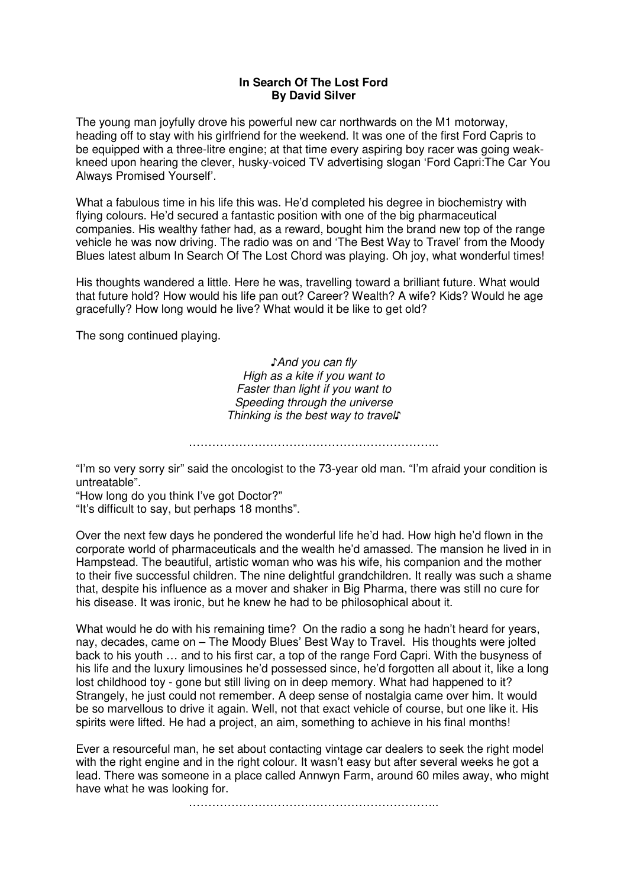## **In Search Of The Lost Ford By David Silver**

The young man joyfully drove his powerful new car northwards on the M1 motorway, heading off to stay with his girlfriend for the weekend. It was one of the first Ford Capris to be equipped with a three-litre engine; at that time every aspiring boy racer was going weakkneed upon hearing the clever, husky-voiced TV advertising slogan 'Ford Capri:The Car You Always Promised Yourself'.

What a fabulous time in his life this was. He'd completed his degree in biochemistry with flying colours. He'd secured a fantastic position with one of the big pharmaceutical companies. His wealthy father had, as a reward, bought him the brand new top of the range vehicle he was now driving. The radio was on and 'The Best Way to Travel' from the Moody Blues latest album In Search Of The Lost Chord was playing. Oh joy, what wonderful times!

His thoughts wandered a little. Here he was, travelling toward a brilliant future. What would that future hold? How would his life pan out? Career? Wealth? A wife? Kids? Would he age gracefully? How long would he live? What would it be like to get old?

The song continued playing.

*♪*And you can fly High as a kite if you want to Faster than light if you want to Speeding through the universe Thinking is the best way to travel*♪*

………………………………………………………..

"I'm so very sorry sir" said the oncologist to the 73-year old man. "I'm afraid your condition is untreatable".

"How long do you think I've got Doctor?"

"It's difficult to say, but perhaps 18 months".

Over the next few days he pondered the wonderful life he'd had. How high he'd flown in the corporate world of pharmaceuticals and the wealth he'd amassed. The mansion he lived in in Hampstead. The beautiful, artistic woman who was his wife, his companion and the mother to their five successful children. The nine delightful grandchildren. It really was such a shame that, despite his influence as a mover and shaker in Big Pharma, there was still no cure for his disease. It was ironic, but he knew he had to be philosophical about it.

What would he do with his remaining time? On the radio a song he hadn't heard for years, nay, decades, came on – The Moody Blues' Best Way to Travel. His thoughts were jolted back to his youth … and to his first car, a top of the range Ford Capri. With the busyness of his life and the luxury limousines he'd possessed since, he'd forgotten all about it, like a long lost childhood toy - gone but still living on in deep memory. What had happened to it? Strangely, he just could not remember. A deep sense of nostalgia came over him. It would be so marvellous to drive it again. Well, not that exact vehicle of course, but one like it. His spirits were lifted. He had a project, an aim, something to achieve in his final months!

Ever a resourceful man, he set about contacting vintage car dealers to seek the right model with the right engine and in the right colour. It wasn't easy but after several weeks he got a lead. There was someone in a place called Annwyn Farm, around 60 miles away, who might have what he was looking for.

………………………………………………………..